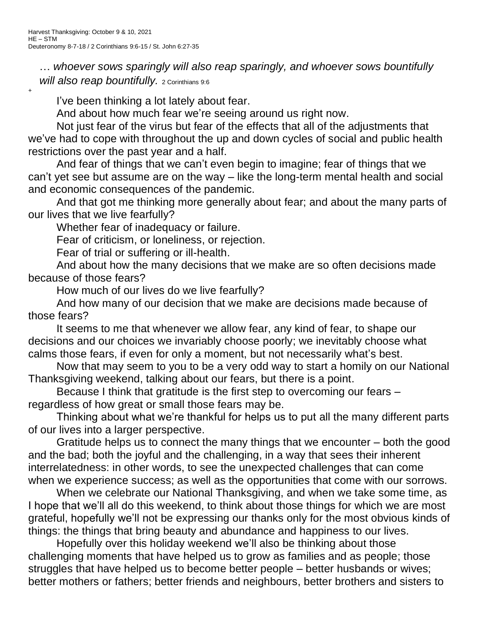+

… *whoever sows sparingly will also reap sparingly, and whoever sows bountifully will also reap bountifully.* 2 Corinthians 9:6

I've been thinking a lot lately about fear.

And about how much fear we're seeing around us right now.

Not just fear of the virus but fear of the effects that all of the adjustments that we've had to cope with throughout the up and down cycles of social and public health restrictions over the past year and a half.

And fear of things that we can't even begin to imagine; fear of things that we can't yet see but assume are on the way – like the long-term mental health and social and economic consequences of the pandemic.

And that got me thinking more generally about fear; and about the many parts of our lives that we live fearfully?

Whether fear of inadequacy or failure.

Fear of criticism, or loneliness, or rejection.

Fear of trial or suffering or ill-health.

And about how the many decisions that we make are so often decisions made because of those fears?

How much of our lives do we live fearfully?

And how many of our decision that we make are decisions made because of those fears?

It seems to me that whenever we allow fear, any kind of fear, to shape our decisions and our choices we invariably choose poorly; we inevitably choose what calms those fears, if even for only a moment, but not necessarily what's best.

Now that may seem to you to be a very odd way to start a homily on our National Thanksgiving weekend, talking about our fears, but there is a point.

Because I think that gratitude is the first step to overcoming our fears – regardless of how great or small those fears may be.

Thinking about what we're thankful for helps us to put all the many different parts of our lives into a larger perspective.

Gratitude helps us to connect the many things that we encounter – both the good and the bad; both the joyful and the challenging, in a way that sees their inherent interrelatedness: in other words, to see the unexpected challenges that can come when we experience success; as well as the opportunities that come with our sorrows.

When we celebrate our National Thanksgiving, and when we take some time, as I hope that we'll all do this weekend, to think about those things for which we are most grateful, hopefully we'll not be expressing our thanks only for the most obvious kinds of things: the things that bring beauty and abundance and happiness to our lives.

Hopefully over this holiday weekend we'll also be thinking about those challenging moments that have helped us to grow as families and as people; those struggles that have helped us to become better people – better husbands or wives; better mothers or fathers; better friends and neighbours, better brothers and sisters to